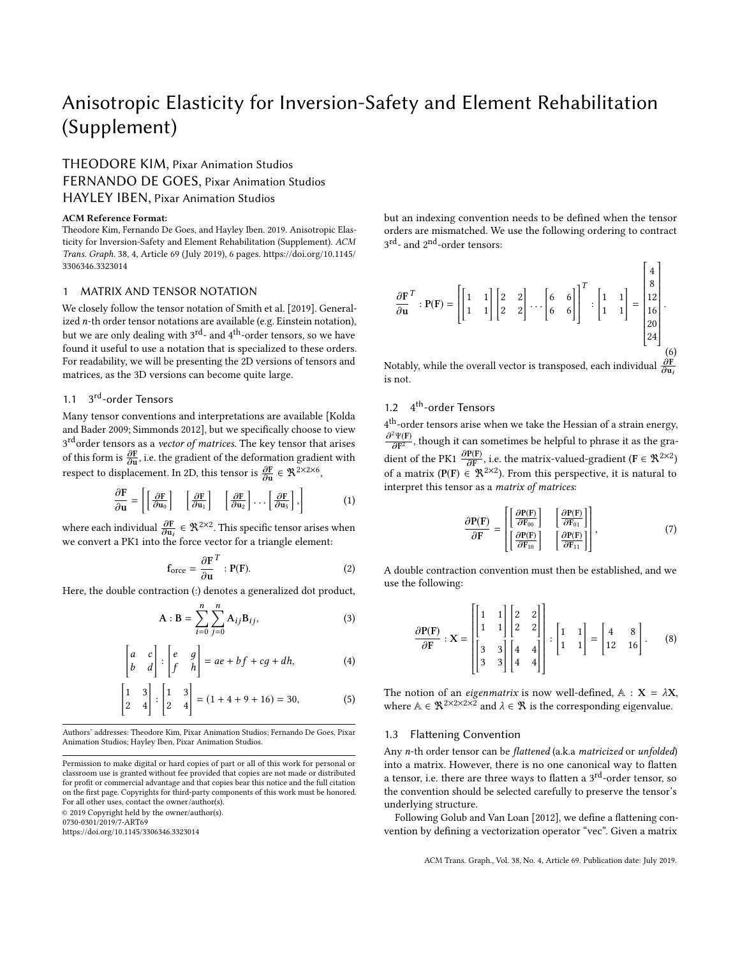# Anisotropic Elasticity for Inversion-Safety and Element Rehabilitation (Supplement)

## THEODORE KIM, Pixar Animation Studios FERNANDO DE GOES, Pixar Animation Studios HAYLEY IBEN, Pixar Animation Studios

### ACM Reference Format:

Theodore Kim, Fernando De Goes, and Hayley Iben. 2019. Anisotropic Elasticity for Inversion-Safety and Element Rehabilitation (Supplement). ACM Trans. Graph. 38, 4, Article 69 (July 2019), [6](#page-5-0) pages. [https://doi.org/10.1145/](https://doi.org/10.1145/3306346.3323014) [3306346.3323014](https://doi.org/10.1145/3306346.3323014)

### 1 MATRIX AND TENSOR NOTATION

We closely follow the tensor notation of [Smith et al.](#page-5-1) [\[2019\]](#page-5-1). Generalized n-th order tensor notations are available (e.g. Einstein notation), but we are only dealing with 3<sup>rd</sup>- and 4<sup>th</sup>-order tensors, so we have found it useful to use a notation that is specialized to these orders. For readability, we will be presenting the 2D versions of tensors and matrices, as the 3D versions can become quite large.

## 1.1 3<sup>rd</sup>-order Tensors

Many tensor conventions and interpretations are available [\[Kolda](#page-5-2) [and Bader 2009;](#page-5-2) [Simmonds 2012\]](#page-5-3), but we specifically choose to view 3<sup>rd</sup>order tensors as a *vector of matrices*. The key tensor that arises of this form is  $\frac{\partial \mathbf{F}}{\partial \mathbf{u}}$ , i.e. the gradient of the deformation gradient with  $\frac{\partial F}{\partial u}$ , i.e. the gradient of the deformation gradient respect to displacement. In 2D, this tensor is  $\frac{\partial F}{\partial u} \in \mathbb{R}^{2 \times 2 \times 6}$ ,

$$
\frac{\partial \mathbf{F}}{\partial \mathbf{u}} = \left[ \begin{bmatrix} \frac{\partial \mathbf{F}}{\partial \mathbf{u}_0} \end{bmatrix} \begin{bmatrix} \frac{\partial \mathbf{F}}{\partial \mathbf{u}_1} \end{bmatrix} \begin{bmatrix} \frac{\partial \mathbf{F}}{\partial \mathbf{u}_2} \end{bmatrix} \cdots \begin{bmatrix} \frac{\partial \mathbf{F}}{\partial \mathbf{u}_S} \end{bmatrix} \right],
$$
(1)

where each individual  $\frac{\partial \mathbf{F}}{\partial u_i} \in \mathbb{R}^{2 \times 2}$ . This specific tensor arises when<br>we convert a PK1 into the force vector for a triangle element: we convert a PK1 into the force vector for a triangle element:

$$
\mathbf{f}_{\text{orce}} = \frac{\partial \mathbf{F}}{\partial \mathbf{u}}^T : \mathbf{P}(\mathbf{F}). \tag{2}
$$

 $\frac{\partial u}{\partial u}$   $\frac{\partial u}{\partial u}$   $\frac{\partial u}{\partial u}$  . There, the double contraction (:) denotes a generalized dot product,

$$
\mathbf{A} : \mathbf{B} = \sum_{i=0}^{n} \sum_{j=0}^{n} \mathbf{A}_{ij} \mathbf{B}_{ij},
$$
 (3)

$$
\begin{bmatrix} a & c \\ b & d \end{bmatrix} : \begin{bmatrix} e & g \\ f & h \end{bmatrix} = ae + bf + cg + dh,
$$
 (4)

$$
\begin{bmatrix} 1 & 3 \\ 2 & 4 \end{bmatrix} : \begin{bmatrix} 1 & 3 \\ 2 & 4 \end{bmatrix} = (1 + 4 + 9 + 16) = 30,
$$
 (5)

Authors' addresses: Theodore Kim, Pixar Animation Studios; Fernando De Goes, Pixar Animation Studios; Hayley Iben, Pixar Animation Studios.

0730-0301/2019/7-ART69

<https://doi.org/10.1145/3306346.3323014>

but an indexing convention needs to be defined when the tensor orders are mismatched. We use the following ordering to contract 3<sup>rd</sup>- and 2<sup>nd</sup>-order tensors:

$$
\frac{\partial \mathbf{F}^T}{\partial \mathbf{u}} \cdot \mathbf{P}(\mathbf{F}) = \begin{bmatrix} 1 & 1 \\ 1 & 1 \end{bmatrix} \begin{bmatrix} 2 & 2 \\ 2 & 2 \end{bmatrix} \cdots \begin{bmatrix} 6 & 6 \\ 6 & 6 \end{bmatrix} \begin{bmatrix} 7 \\ 1 & 1 \\ 1 & 1 \end{bmatrix} = \begin{bmatrix} 4 \\ 8 \\ 12 \\ 16 \\ 20 \\ 24 \\ 24 \end{bmatrix}.
$$

Notably, while the overall vector is transposed, each individual  $\frac{\partial \mathrm{F}}{\partial \mathbf{u}_i}$ <br>is not is not.

## 1.2 4<sup>th</sup>-order Tensors

 $4^{\rm th}$ -order tensors arise when we take the Hessian of a strain energy,  $\frac{\partial^2 \Psi(\mathbf{F})}{\partial \mathbf{F}^2}$ , though it can sometimes be helpful to phrase it as the gra- $\frac{\partial F^2}{\partial P}$ , inough it can sometimes be neiprar to pinase it as the gradient of the PK1  $\frac{\partial P(F)}{\partial F}$ , i.e. the matrix-valued-gradient (F ∈  $\mathbb{R}^{2 \times 2}$ ) of a matrix ( $P(F) \in \mathbb{R}^{2 \times 2}$ ). From this perspective, it is natural to of interpret this tensor as a matrix of matrices:

$$
\frac{\partial P(F)}{\partial F} = \begin{bmatrix} \left[ \frac{\partial P(F)}{\partial F_{00}} \right] & \left[ \frac{\partial P(F)}{\partial F_{01}} \right] \\ \left[ \frac{\partial P(F)}{\partial F_{10}} \right] & \left[ \frac{\partial P(F)}{\partial F_{11}} \right] \end{bmatrix},\tag{7}
$$

A double contraction convention must then be established, and we use the following:

$$
\frac{\partial P(F)}{\partial F} : X = \begin{bmatrix} 1 & 1 \\ 1 & 1 \\ 3 & 3 \\ 3 & 3 \end{bmatrix} \begin{bmatrix} 2 & 2 \\ 4 & 4 \\ 4 & 4 \end{bmatrix} : \begin{bmatrix} 1 & 1 \\ 1 & 1 \end{bmatrix} = \begin{bmatrix} 4 & 8 \\ 12 & 16 \end{bmatrix}.
$$
 (8)

The notion of an *eigenmatrix* is now well-defined,  $A : X = \lambda X$ , where  $\mathbb{A} \in \mathbb{R}^{2 \times 2 \times 2 \times \mathbb{Z}}$  and  $\lambda \in \mathbb{R}$  is the corresponding eigenvalue.

### 1.3 Flattening Convention

Any n-th order tensor can be flattened (a.k.a matricized or unfolded) into a matrix. However, there is no one canonical way to flatten a tensor, i.e. there are three ways to flatten a 3<sup>rd</sup>-order tensor, so the convention should be selected carefully to preserve the tensor's underlying structure.

Following [Golub and Van Loan](#page-5-4) [\[2012\]](#page-5-4), we define a flattening convention by defining a vectorization operator "vec". Given a matrix

Permission to make digital or hard copies of part or all of this work for personal or classroom use is granted without fee provided that copies are not made or distributed for profit or commercial advantage and that copies bear this notice and the full citation on the first page. Copyrights for third-party components of this work must be honored. For all other uses, contact the owner/author(s). © 2019 Copyright held by the owner/author(s).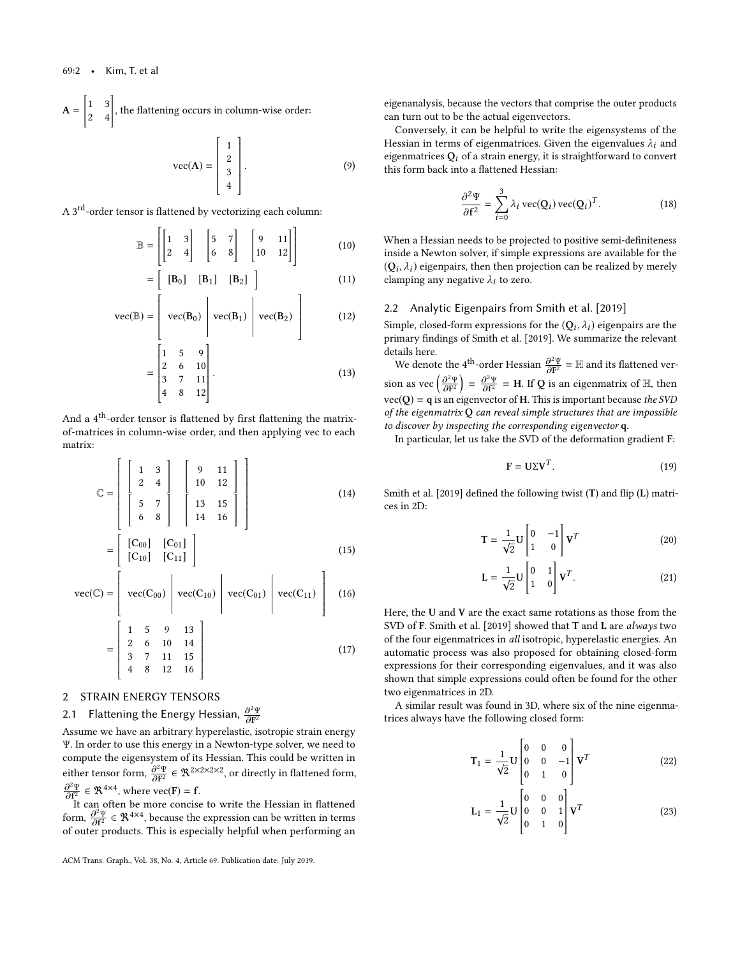$A =$  $\begin{bmatrix} 1 & 3 \\ 2 & 4 \end{bmatrix}$ , the flattening occurs in column-wise order:

$$
\text{vec}(A) = \begin{bmatrix} 1 \\ 2 \\ 3 \\ 4 \end{bmatrix}.
$$
 (9)

A 3<sup>rd</sup>-order tensor is flattened by vectorizing each column:

$$
\mathbb{B} = \begin{bmatrix} 1 & 3 \\ 2 & 4 \end{bmatrix} \begin{bmatrix} 5 & 7 \\ 6 & 8 \end{bmatrix} \begin{bmatrix} 9 & 11 \\ 10 & 12 \end{bmatrix}
$$
 (10)

$$
= \left[ \begin{array}{cc} [B_0] & [B_1] & [B_2] \end{array} \right] \tag{11}
$$

$$
\text{vec}(\mathbb{B}) = \left[ \text{vec}(\mathbf{B}_0) \middle| \text{vec}(\mathbf{B}_1) \middle| \text{vec}(\mathbf{B}_2) \right] \tag{12}
$$

$$
= \begin{bmatrix} 1 & 5 & 9 \\ 2 & 6 & 10 \\ 3 & 7 & 11 \\ 4 & 8 & 12 \end{bmatrix} .
$$
 (13)

And a  $4^{\text{th}}$ -order tensor is flattened by first flattening the matrixof-matrices in column-wise order, and then applying vec to each matrix:

 $\mathbf{r}$  and  $\mathbf{r}$ 

$$
\mathbb{C} = \left[ \begin{array}{ccc} 1 & 3 \\ 2 & 4 \\ 5 & 7 \\ 6 & 8 \end{array} \right] \left[ \begin{array}{ccc} 9 & 11 \\ 10 & 12 \\ 13 & 15 \\ 14 & 16 \end{array} \right] \right]
$$
(14)

$$
= \left[ \begin{array}{cc} [C_{00}] & [C_{01}] \\ [C_{10}] & [C_{11}] \end{array} \right] \tag{15}
$$

$$
\text{vec}(\mathbb{C}) = \left[ \begin{array}{c} \text{vec}(C_{00}) & \text{vec}(C_{10}) & \text{vec}(C_{01}) & \text{vec}(C_{11}) \\ 1 & 5 & 9 & 13 \\ 2 & 6 & 10 & 14 \\ 3 & 7 & 11 & 15 \\ 4 & 8 & 12 & 16 \end{array} \right] \quad \text{(16)}
$$

## 2 STRAIN ENERGY TENSORS

Ī

# 2.1 Flattening the Energy Hessian,  $\frac{\partial^2 \Psi}{\partial \mathbf{F}^2}$

 $\mathcal{L}$ . That coming the Energy Tressian,  $\frac{\partial \mathbf{F}^2}{\partial \mathbf{F}^2}$ <br>Assume we have an arbitrary hyperelastic, isotropic strain energy Ψ. In order to use this energy in a Newton-type solver, we need to compute the eigensystem of its Hessian. This could be written in either tensor form,  $\frac{\partial^2 \Psi}{\partial F^2} \in \mathbb{R}^{2 \times 2 \times 2 \times 2}$ , or directly in flattened form,  $\frac{\partial^2 \Psi}{\partial f^2} \in \mathbb{R}^{4 \times 4}$ , where vec(F) = f.<br>*T* t can often be more concise

Ī

It can often be more concise to write the Hessian in flattened form,  $\frac{\partial^2 \Psi}{\partial f^2} \in \mathbb{R}^{4 \times 4}$ , because the expression can be written in terms form,  $\frac{\partial f^2}{\partial t^2} \subset 2x$ , because the expression can be written in terms of outer products. This is especially helpful when performing an eigenanalysis, because the vectors that comprise the outer products can turn out to be the actual eigenvectors.

Conversely, it can be helpful to write the eigensystems of the Hessian in terms of eigenmatrices. Given the eigenvalues  $\lambda_i$  and eigenmatrices  $Q_i$  of a strain energy, it is straightforward to convert this form back into a flattened Hessian:

$$
\frac{\partial^2 \Psi}{\partial f^2} = \sum_{i=0}^3 \lambda_i \operatorname{vec}(Q_i) \operatorname{vec}(Q_i)^T.
$$
 (18)

When a Hessian needs to be projected to positive semi-definiteness inside a Newton solver, if simple expressions are available for the  $(Q_i, \lambda_i)$  eigenpairs, then then projection can be realized by merely<br>clamping any negative  $\lambda_i$  to zero clamping any negative  $\lambda_i$  to zero.

### 2.2 Analytic Eigenpairs from [Smith et al.](#page-5-1) [\[2019\]](#page-5-1)

Simple, closed-form expressions for the  $(Q_i, \lambda_i)$  eigenpairs are the primary findings of Smith et al. [2019]. We summarize the relevant primary findings of [Smith et al.](#page-5-1) [\[2019\]](#page-5-1). We summarize the relevant details here.

We denote the 4<sup>th</sup>-order Hessian  $\frac{\partial^2 \Psi}{\partial F^2} = \mathbb{H}$  and its flattened ver- $\frac{\partial F^2}{\partial F^2} = \frac{\partial^2 \Psi}{\partial F^2} = H$ . If Q is an eigenmatrix of H, then<br>  $\frac{\partial^2 \Psi}{\partial F^2} = \frac{\partial^2 \Psi}{\partial F^2} = H$ . If Q is an eigenmatrix of H, then  $vec(Q) = q$  is an eigenvector of H. This is important because the SVD of the eigenmatrix  $Q$  can reveal simple structures that are impossible to discover by inspecting the corresponding eigenvector q.

In particular, let us take the SVD of the deformation gradient F:

$$
\mathbf{F} = \mathbf{U} \Sigma \mathbf{V}^T. \tag{19}
$$

[Smith et al.](#page-5-1) [\[2019\]](#page-5-1) defined the following twist (T) and flip (L) matrices in 2D:

$$
\mathbf{T} = \frac{1}{\sqrt{2}} \mathbf{U} \begin{bmatrix} 0 & -1 \\ 1 & 0 \end{bmatrix} \mathbf{V}^T
$$
 (20)

$$
\mathbf{L} = \frac{1}{\sqrt{2}} \mathbf{U} \begin{bmatrix} 0 & 1 \\ 1 & 0 \end{bmatrix} \mathbf{V}^T.
$$
 (21)

Here, the U and V are the exact same rotations as those from the SVD of F. [Smith et al.](#page-5-1) [\[2019\]](#page-5-1) showed that T and L are always two of the four eigenmatrices in all isotropic, hyperelastic energies. An automatic process was also proposed for obtaining closed-form expressions for their corresponding eigenvalues, and it was also shown that simple expressions could often be found for the other two eigenmatrices in 2D.

A similar result was found in 3D, where six of the nine eigenmatrices always have the following closed form:

$$
\mathbf{T}_1 = \frac{1}{\sqrt{2}} \mathbf{U} \begin{bmatrix} 0 & 0 & 0 \\ 0 & 0 & -1 \\ 0 & 1 & 0 \end{bmatrix} \mathbf{V}^T
$$
 (22)

$$
\mathbf{L}_1 = \frac{1}{\sqrt{2}} \mathbf{U} \begin{bmatrix} 0 & 0 & 0 \\ 0 & 0 & 1 \\ 0 & 1 & 0 \end{bmatrix} \mathbf{V}^T
$$
 (23)

ACM Trans. Graph., Vol. 38, No. 4, Article 69. Publication date: July 2019.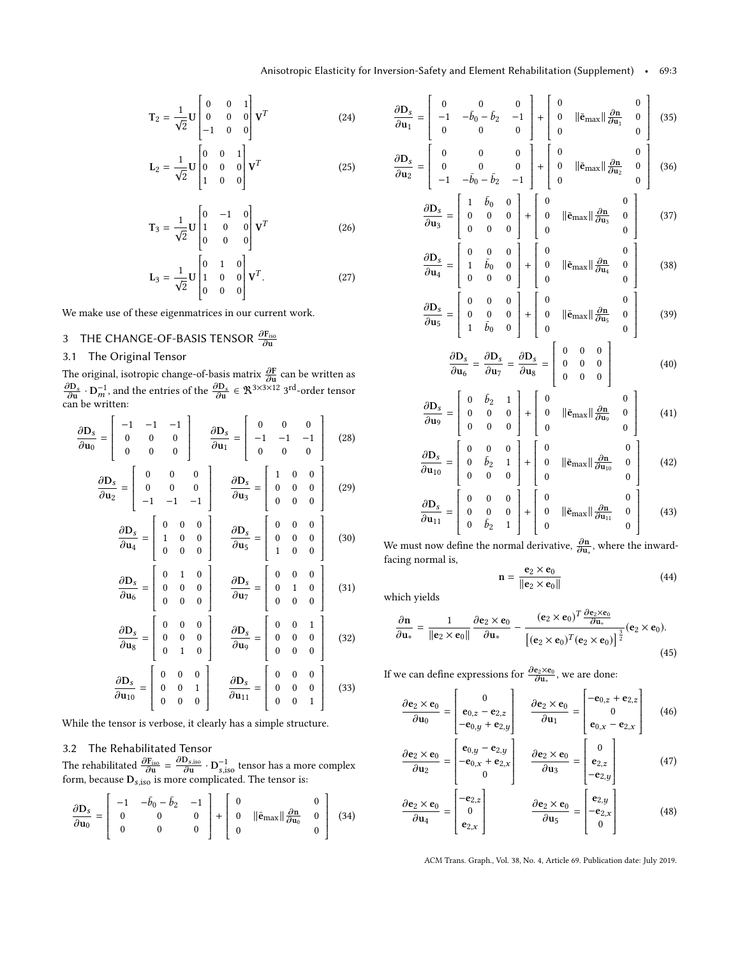$$
\mathbf{T}_2 = \frac{1}{\sqrt{2}} \mathbf{U} \begin{bmatrix} 0 & 0 & 1 \\ 0 & 0 & 0 \\ -1 & 0 & 0 \end{bmatrix} \mathbf{V}^T
$$
 (24)

$$
\mathbf{L}_2 = \frac{1}{\sqrt{2}} \mathbf{U} \begin{bmatrix} 0 & 0 & 1 \\ 0 & 0 & 0 \\ 1 & 0 & 0 \end{bmatrix} \mathbf{V}^T
$$
 (25)

$$
\mathbf{T}_3 = \frac{1}{\sqrt{2}} \mathbf{U} \begin{bmatrix} 0 & -1 & 0 \\ 1 & 0 & 0 \\ 0 & 0 & 0 \end{bmatrix} \mathbf{V}^T
$$
 (26)

$$
\mathbf{L}_3 = \frac{1}{\sqrt{2}} \mathbf{U} \begin{bmatrix} 0 & 1 & 0 \\ 1 & 0 & 0 \\ 0 & 0 & 0 \end{bmatrix} \mathbf{V}^T.
$$
 (27)

We make use of these eigenmatrices in our current work.

# 3 THE CHANGE-OF-BASIS TENSOR  $\frac{\partial \mathbf{F}_{\text{iso}}}{\partial \mathbf{u}}$

## 3.1 The Original Tensor

The original, isotropic change-of-basis matrix  $\frac{\partial F}{\partial u}$  can be written as  $\frac{\partial D_s}{\partial u}$   $\sum_{n=1}^{\infty}$  and the entries of the  $\frac{\partial D_s}{\partial u} \in \mathbb{R}^{3\times 3\times 12}$  and entries  $\frac{\partial \mathbf{D}_s}{\partial \mathbf{u}} \cdot \mathbf{D}_m^{-1}$ , and the entries of the  $\frac{\partial \mathbf{D}_s}{\partial \mathbf{u}} \in \mathbb{R}^{3 \times 3 \times 12}$  3<sup>rd</sup>-order tensor can be written:

$$
\frac{\partial \mathbf{D}_{s}}{\partial \mathbf{u}_{0}} = \begin{bmatrix} -1 & -1 & -1 \\ 0 & 0 & 0 \\ 0 & 0 & 0 \end{bmatrix} \quad \frac{\partial \mathbf{D}_{s}}{\partial \mathbf{u}_{1}} = \begin{bmatrix} 0 & 0 & 0 \\ -1 & -1 & -1 \\ 0 & 0 & 0 \end{bmatrix} \quad (28)
$$

$$
\frac{\partial \mathbf{D}_{s}}{\partial \mathbf{u}_{2}} = \begin{bmatrix} 0 & 0 & 0 \\ 0 & 0 & 0 \\ -1 & -1 & -1 \end{bmatrix} \quad \frac{\partial \mathbf{D}_{s}}{\partial \mathbf{u}_{3}} = \begin{bmatrix} 1 & 0 & 0 \\ 0 & 0 & 0 \\ 0 & 0 & 0 \end{bmatrix} \quad (29)
$$

$$
\frac{\partial \mathbf{D}_{s}}{\partial \mathbf{u}_{4}} = \begin{bmatrix} 0 & 0 & 0 \\ 1 & 0 & 0 \\ 0 & 0 & 0 \end{bmatrix} \quad \frac{\partial \mathbf{D}_{s}}{\partial \mathbf{u}_{5}} = \begin{bmatrix} 0 & 0 & 0 \\ 0 & 0 & 0 \\ 1 & 0 & 0 \end{bmatrix} \quad (30)
$$

$$
\frac{\partial \mathbf{D}_{s}}{\partial \mathbf{u}_{6}} = \begin{bmatrix} 0 & 1 & 0 \\ 0 & 0 & 0 \\ 0 & 0 & 0 \end{bmatrix} \quad \frac{\partial \mathbf{D}_{s}}{\partial \mathbf{u}_{7}} = \begin{bmatrix} 0 & 0 & 0 \\ 0 & 1 & 0 \\ 0 & 0 & 0 \end{bmatrix} \quad (31)
$$

$$
\frac{\partial \mathbf{D}_{s}}{\partial \mathbf{u}_{8}} = \begin{bmatrix} 0 & 0 & 0 \\ 0 & 0 & 0 \\ 0 & 1 & 0 \end{bmatrix} \quad \frac{\partial \mathbf{D}_{s}}{\partial \mathbf{u}_{9}} = \begin{bmatrix} 0 & 0 & 1 \\ 0 & 0 & 0 \\ 0 & 0 & 0 \end{bmatrix} \quad (32)
$$

$$
\frac{\partial \mathbf{D}_{s}}{\partial \mathbf{u}_{10}} = \begin{bmatrix} 0 & 0 & 0 \\ 0 & 0 & 1 \\ 0 & 0 & 0 \end{bmatrix} \quad \frac{\partial \mathbf{D}_{s}}{\partial \math
$$

While the tensor is verbose, it clearly has a simple structure.

### <span id="page-2-0"></span>3.2 The Rehabilitated Tensor

The rehabilitated  $\frac{\partial \mathbf{F}_{\text{iso}}}{\partial \mathbf{u}} = \frac{\partial \mathbf{D}_{s,\text{iso}}}{\partial \mathbf{u}}$ <br>form because **D**, is is more con  $\frac{D_{s,iso}}{\partial u} \cdot D_{s,iso}^{-1}$  tensor has a more complex<br>∍ complicated. The tensor is: form, because  $\mathbf{D}_{s,iso}$  is more complicated. The tensor is:

$$
\frac{\partial \mathbf{D}_s}{\partial \mathbf{u}_0} = \begin{bmatrix} -1 & -\bar{b}_0 - \bar{b}_2 & -1 \\ 0 & 0 & 0 \\ 0 & 0 & 0 \end{bmatrix} + \begin{bmatrix} 0 & 0 \\ 0 & ||\bar{\mathbf{e}}_{\text{max}}|| \frac{\partial \mathbf{n}}{\partial \mathbf{u}_0} & 0 \\ 0 & 0 \end{bmatrix}
$$
(34)

$$
\frac{\partial \mathbf{D}_s}{\partial \mathbf{u}_1} = \begin{bmatrix} 0 & 0 & 0 \\ -1 & -\bar{b}_0 - \bar{b}_2 & -1 \\ 0 & 0 & 0 \end{bmatrix} + \begin{bmatrix} 0 & 0 \\ 0 & ||\bar{\mathbf{e}}_{\text{max}}|| \frac{\partial \mathbf{n}}{\partial \mathbf{u}_1} & 0 \\ 0 & 0 \end{bmatrix}
$$
 (35)  

$$
\frac{\partial \mathbf{D}_s}{\partial \mathbf{u}_2} = \begin{bmatrix} 0 & 0 & 0 \\ 0 & 0 & 0 \\ -1 & -\bar{b}_0 - \bar{b}_2 & -1 \end{bmatrix} + \begin{bmatrix} 0 & ||\bar{\mathbf{e}}_{\text{max}}|| \frac{\partial \mathbf{n}}{\partial \mathbf{u}_2} & 0 \\ 0 & ||\bar{\mathbf{e}}_{\text{max}}|| \frac{\partial \mathbf{n}}{\partial \mathbf{u}_2} & 0 \\ 0 & 0 & 0 \end{bmatrix}
$$
 (36)  

$$
\frac{\partial \mathbf{D}_s}{\partial \mathbf{u}_3} = \begin{bmatrix} 1 & \bar{b}_0 & 0 \\ 0 & 0 & 0 \\ 0 & 0 & 0 \end{bmatrix} + \begin{bmatrix} 0 & ||\bar{\mathbf{e}}_{\text{max}}|| \frac{\partial \mathbf{n}}{\partial \mathbf{u}_3} & 0 \\ 0 & ||\bar{\mathbf{e}}_{\text{max}}|| \frac{\partial \mathbf{n}}{\partial \mathbf{u}_3} & 0 \\ 0 & 0 & 0 \end{bmatrix}
$$
 (37)  

$$
\frac{\partial \mathbf{D}_s}{\partial \mathbf{D}_s} = \begin{bmatrix} 0 & 0 & 0 \\ 1 & \bar{b}_0 & 0 \\ 1 & \bar{b}_0 & 0 \end{bmatrix} + \begin{bmatrix} 0 & ||\bar{\mathbf{e}}_{\text{max}}|| \frac{\partial \mathbf{n}}{\partial \mathbf{u}_3} & 0 \\ 0 & ||\bar{\mathbf{e}}_{\text{max}}|| \frac{\partial \mathbf{n}}{\partial \mathbf{u}_3} & 0 \end{bmatrix}
$$
 (38)

$$
\frac{\partial \mathbf{D}_s}{\partial \mathbf{u}_4} = \begin{bmatrix} 0 & 0 & 0 \\ 1 & \bar{b}_0 & 0 \\ 0 & 0 & 0 \end{bmatrix} + \begin{bmatrix} 0 & ||\mathbf{\tilde{e}}_{\text{max}}|| \frac{\partial \mathbf{n}}{\partial \mathbf{u}_4} & 0 \\ 0 & 0 & 0 \\ 0 & 0 & 0 \end{bmatrix}
$$
(38)  

$$
\frac{\partial \mathbf{D}_s}{\partial \mathbf{u}_5} = \begin{bmatrix} 0 & 0 & 0 \\ 0 & 0 & 0 \\ 1 & \bar{b}_0 & 0 \end{bmatrix} + \begin{bmatrix} 0 & ||\mathbf{\tilde{e}}_{\text{max}}|| \frac{\partial \mathbf{n}}{\partial \mathbf{u}_5} & 0 \\ 0 & ||\mathbf{\tilde{e}}_{\text{max}}|| \frac{\partial \mathbf{n}}{\partial \mathbf{u}_5} & 0 \\ 0 & 0 & 0 \end{bmatrix}
$$
(39)

$$
\frac{\partial \mathbf{D}_s}{\partial \mathbf{u}_6} = \frac{\partial \mathbf{D}_s}{\partial \mathbf{u}_7} = \frac{\partial \mathbf{D}_s}{\partial \mathbf{u}_8} = \begin{bmatrix} 0 & 0 & 0 \\ 0 & 0 & 0 \\ 0 & 0 & 0 \end{bmatrix}
$$
(40)

$$
\frac{\partial \mathbf{D}_{s}}{\partial \mathbf{u}_{9}} = \begin{bmatrix} 0 & \bar{b}_{2} & 1 \\ 0 & 0 & 0 \\ 0 & 0 & 0 \end{bmatrix} + \begin{bmatrix} 0 & 0 \\ 0 & ||\bar{\mathbf{e}}_{\text{max}}||\frac{\partial \mathbf{n}}{\partial \mathbf{u}_{9}} & 0 \\ 0 & 0 & 0 \end{bmatrix}
$$
(41)  

$$
\frac{\partial \mathbf{D}_{s}}{\partial \mathbf{u}_{10}} = \begin{bmatrix} 0 & 0 & 0 \\ 0 & \bar{b}_{2} & 1 \\ 0 & 0 & 0 \end{bmatrix} + \begin{bmatrix} 0 & ||\bar{\mathbf{e}}_{\text{max}}||\frac{\partial \mathbf{n}}{\partial \mathbf{u}_{10}} & 0 \\ 0 & ||\bar{\mathbf{e}}_{\text{max}}||\frac{\partial \mathbf{n}}{\partial \mathbf{u}_{10}} & 0 \\ 0 & 0 & 0 \end{bmatrix}
$$
(42)  

$$
\frac{\partial \mathbf{D}_{s}}{\partial \mathbf{u}_{11}} = \begin{bmatrix} 0 & 0 & 0 \\ 0 & 0 & 0 \\ 0 & \bar{b}_{2} & 1 \end{bmatrix} + \begin{bmatrix} 0 & ||\bar{\mathbf{e}}_{\text{max}}||\frac{\partial \mathbf{n}}{\partial \mathbf{u}_{10}} & 0 \\ 0 & ||\bar{\mathbf{e}}_{\text{max}}||\frac{\partial \mathbf{n}}{\partial \mathbf{u}_{11}} & 0 \\ 0 & 0 \end{bmatrix}
$$
(43)

We must now define the normal derivative,  $\frac{\partial n}{\partial u_*}$ , where the inward-<br>facing normal is facing normal is,

$$
\mathbf{n} = \frac{\mathbf{e}_2 \times \mathbf{e}_0}{\|\mathbf{e}_2 \times \mathbf{e}_0\|} \tag{44}
$$

0 0

which yields

$$
\frac{\partial \mathbf{n}}{\partial \mathbf{u}_*} = \frac{1}{\|\mathbf{e}_2 \times \mathbf{e}_0\|} \frac{\partial \mathbf{e}_2 \times \mathbf{e}_0}{\partial \mathbf{u}_*} - \frac{(\mathbf{e}_2 \times \mathbf{e}_0)^T \frac{\partial \mathbf{e}_2 \times \mathbf{e}_0}{\partial \mathbf{u}_*}}{\left[(\mathbf{e}_2 \times \mathbf{e}_0)^T (\mathbf{e}_2 \times \mathbf{e}_0)\right]^{\frac{3}{2}}} (\mathbf{e}_2 \times \mathbf{e}_0).
$$
\n(45)

If we can define expressions for  $\frac{\partial e_2 \times e_0}{\partial u_*}$ , we are done:

Ì

Í

0  $\bar{b}_2$  1

$$
\frac{\partial \mathbf{e}_2 \times \mathbf{e}_0}{\partial \mathbf{u}_0} = \begin{bmatrix} 0 \\ \mathbf{e}_{0,z} - \mathbf{e}_{2,z} \\ -\mathbf{e}_{0,y} + \mathbf{e}_{2,y} \end{bmatrix} \quad \frac{\partial \mathbf{e}_2 \times \mathbf{e}_0}{\partial \mathbf{u}_1} = \begin{bmatrix} -\mathbf{e}_{0,z} + \mathbf{e}_{2,z} \\ 0 \\ \mathbf{e}_{0,x} - \mathbf{e}_{2,x} \end{bmatrix} \quad (46)
$$

$$
\frac{\partial \mathbf{e}_2 \times \mathbf{e}_0}{\partial \mathbf{u}_2} = \begin{bmatrix} \mathbf{e}_{0,y} - \mathbf{e}_{2,y} \\ -\mathbf{e}_{0,x} + \mathbf{e}_{2,x} \\ 0 \end{bmatrix} \quad \frac{\partial \mathbf{e}_2 \times \mathbf{e}_0}{\partial \mathbf{u}_3} = \begin{bmatrix} 0 \\ \mathbf{e}_{2,z} \\ -\mathbf{e}_{2,y} \end{bmatrix}
$$
(47)

$$
\frac{\partial \mathbf{e}_2 \times \mathbf{e}_0}{\partial \mathbf{u}_4} = \begin{bmatrix} -\mathbf{e}_{2,z} \\ 0 \\ \mathbf{e}_{2,x} \end{bmatrix} \qquad \qquad \frac{\partial \mathbf{e}_2 \times \mathbf{e}_0}{\partial \mathbf{u}_5} = \begin{bmatrix} \mathbf{e}_{2,y} \\ -\mathbf{e}_{2,x} \\ 0 \end{bmatrix} \qquad (48)
$$

ACM Trans. Graph., Vol. 38, No. 4, Article 69. Publication date: July 2019.

Ì

Í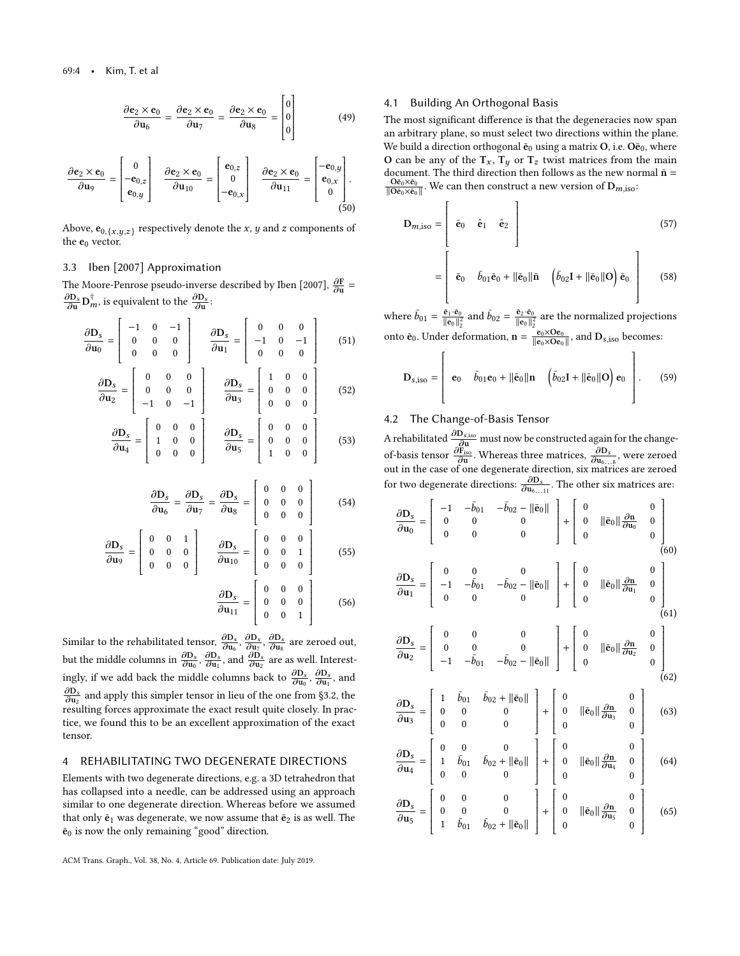$$
\frac{\partial \mathbf{e}_2 \times \mathbf{e}_0}{\partial \mathbf{u}_6} = \frac{\partial \mathbf{e}_2 \times \mathbf{e}_0}{\partial \mathbf{u}_7} = \frac{\partial \mathbf{e}_2 \times \mathbf{e}_0}{\partial \mathbf{u}_8} = \begin{bmatrix} 0 \\ 0 \\ 0 \end{bmatrix}
$$
(49)

Ī

Ī

$$
\frac{\partial \mathbf{e}_2 \times \mathbf{e}_0}{\partial \mathbf{u}_9} = \begin{bmatrix} 0 \\ -\mathbf{e}_{0,z} \\ \mathbf{e}_{0,y} \end{bmatrix} \quad \frac{\partial \mathbf{e}_2 \times \mathbf{e}_0}{\partial \mathbf{u}_{10}} = \begin{bmatrix} \mathbf{e}_{0,z} \\ 0 \\ -\mathbf{e}_{0,x} \end{bmatrix} \quad \frac{\partial \mathbf{e}_2 \times \mathbf{e}_0}{\partial \mathbf{u}_{11}} = \begin{bmatrix} -\mathbf{e}_{0,y} \\ \mathbf{e}_{0,x} \\ 0 \end{bmatrix}.
$$
\n(50)

Above,  $\mathbf{e}_{0,\{x,y,z\}}$  respectively denote the x, y and z components of the  $\mathbf{e}_0$  vector. the  $e_0$  vector.

### 3.3 [Iben](#page-5-5) [\[2007\]](#page-5-5) Approximation

The Moore-Penrose pseudo-inverse described by [Iben](#page-5-5) [\[2007\]](#page-5-5),  $\frac{\partial F}{\partial u} = \frac{\partial D_s}{\partial u} \mathbf{n}^{\dagger}$  is conjugated to the  $\partial D_s$ .  $\frac{\partial \mathbf{D_s}}{\partial \mathbf{u}} \mathbf{D}_m^{\dagger}$ , is equivalent to the  $\frac{\partial \mathbf{D_s}}{\partial \mathbf{u}}$ :

$$
\frac{\partial \mathbf{D}_s}{\partial \mathbf{u}_0} = \begin{bmatrix} -1 & 0 & -1 \\ 0 & 0 & 0 \\ 0 & 0 & 0 \end{bmatrix} \quad \frac{\partial \mathbf{D}_s}{\partial \mathbf{u}_1} = \begin{bmatrix} 0 & 0 & 0 \\ -1 & 0 & -1 \\ 0 & 0 & 0 \end{bmatrix}
$$
(51)  

$$
\frac{\partial \mathbf{D}_s}{\partial \mathbf{u}_2} = \begin{bmatrix} 0 & 0 & 0 \\ 0 & 0 & 0 \\ -1 & 0 & -1 \end{bmatrix} \quad \frac{\partial \mathbf{D}_s}{\partial \mathbf{u}_3} = \begin{bmatrix} 1 & 0 & 0 \\ 0 & 0 & 0 \\ 0 & 0 & 0 \end{bmatrix}
$$
(52)  

$$
\mathbf{D}_s = \begin{bmatrix} 0 & 0 & 0 \\ 0 & 0 & 0 \end{bmatrix} \quad \mathbf{D}_s = \begin{bmatrix} 0 & 0 & 0 \\ 0 & 0 & 0 \\ 0 & 0 & 0 \end{bmatrix}
$$

$$
\frac{\partial \mathbf{D}_s}{\partial \mathbf{u}_4} = \begin{bmatrix} 0 & 0 & 0 \\ 1 & 0 & 0 \\ 0 & 0 & 0 \end{bmatrix} \qquad \frac{\partial \mathbf{D}_s}{\partial \mathbf{u}_5} = \begin{bmatrix} 0 & 0 & 0 \\ 0 & 0 & 0 \\ 1 & 0 & 0 \end{bmatrix}
$$
(53)

$$
\frac{\partial \mathbf{D}_s}{\partial \mathbf{u}_6} = \frac{\partial \mathbf{D}_s}{\partial \mathbf{u}_7} = \frac{\partial \mathbf{D}_s}{\partial \mathbf{u}_8} = \begin{bmatrix} 0 & 0 & 0 \\ 0 & 0 & 0 \\ 0 & 0 & 0 \end{bmatrix}
$$
(54)

$$
\frac{\partial \mathbf{D}_s}{\partial \mathbf{u}_9} = \begin{bmatrix} 0 & 0 & 1 \\ 0 & 0 & 0 \\ 0 & 0 & 0 \end{bmatrix} \qquad \frac{\partial \mathbf{D}_s}{\partial \mathbf{u}_{10}} = \begin{bmatrix} 0 & 0 & 0 \\ 0 & 0 & 1 \\ 0 & 0 & 0 \end{bmatrix}
$$
(55)
$$
\frac{\partial \mathbf{D}_s}{\partial \mathbf{u}_{11}} = \begin{bmatrix} 0 & 0 & 0 \\ 0 & 0 & 0 \\ 0 & 0 & 1 \end{bmatrix}
$$
(56)

Similar to the rehabilitated tensor,  $\frac{\partial D_s}{\partial u_6}, \frac{\partial D_s}{\partial u_7}, \frac{\partial D_s}{\partial u_8}$  are zeroed out, but the middle columns in  $\frac{\partial \mathbf{D}_s}{\partial \mathbf{u}_0}$ ,  $\frac{\partial \mathbf{D}_s}{\partial \mathbf{u}_1}$  and  $\frac{\partial \mathbf{D}_s}{\partial \mathbf{u}_2}$  are as well. Interestingly, if we add back the middle columns back to  $\frac{\partial D_s}{\partial u_0}$ ,  $\frac{\partial D_s}{\partial u_1}$ , and  $\frac{\partial D_s}{\partial u_2}$  $\frac{\partial D_s}{\partial u_2}$  and apply this simpler tensor in lieu of the one from [§3.2,](#page-2-0) the  $\partial u_2$  and apply this simpler tensor in hed of the one from §9.2, the resulting forces approximate the exact result quite closely. In practice, we found this to be an excellent approximation of the exact tensor.

#### 4 REHABILITATING TWO DEGENERATE DIRECTIONS

Elements with two degenerate directions, e.g. a 3D tetrahedron that has collapsed into a needle, can be addressed using an approach similar to one degenerate direction. Whereas before we assumed that only  $\bar{e}_1$  was degenerate, we now assume that  $\bar{e}_2$  is as well. The  $\bar{\mathbf{e}}_0$  is now the only remaining "good" direction.

ACM Trans. Graph., Vol. 38, No. 4, Article 69. Publication date: July 2019.

### 4.1 Building An Orthogonal Basis

The most significant difference is that the degeneracies now span an arbitrary plane, so must select two directions within the plane. We build a direction orthogonal  $\bar{\mathbf{e}}_0$  using a matrix O, i.e. O $\bar{\mathbf{e}}_0$ , where O can be any of the  $T_x$ ,  $T_y$  or  $T_z$  twist matrices from the main document. The third direction then follows as the new normal  $\bar{\mathbf{n}} = \frac{\mathbf{O}\bar{\mathbf{e}}_0 \times \bar{\mathbf{e}}_0}{\|\mathbf{O}\bar{\mathbf{e}}_0 \times \bar{\mathbf{e}}_0\|}$ . We can then construct a new version of  $\mathbf{D}_{m, \text{iso}}$ :

$$
\mathbf{D}_{m,\text{iso}} = \begin{bmatrix} \bar{\mathbf{e}}_0 & \hat{\mathbf{e}}_1 & \hat{\mathbf{e}}_2 \end{bmatrix}
$$
 (57)

$$
= \begin{vmatrix} \overline{\mathbf{e}}_0 & \overline{b}_{01}\overline{\mathbf{e}}_0 + ||\overline{\mathbf{e}}_0||\overline{\mathbf{n}} & \left(\overline{b}_{02}\mathbf{I} + ||\overline{\mathbf{e}}_0||\mathbf{O}\right)\overline{\mathbf{e}}_0 \end{vmatrix}
$$
 (58)

 $\mathbf{1}$ 

Í

where  $\bar{b}_{01} = \frac{\bar{\mathbf{e}}_1 \cdot \bar{\mathbf{e}}_0}{\|\mathbf{e}_0\|_2^2}$  and  $\bar{b}_{02} = \frac{\bar{\mathbf{e}}_2 \cdot \bar{\mathbf{e}}_0}{\|\mathbf{e}_0\|_2^2}$  are the normalized pro  $\frac{\bar{\mathbf{e}}_1 \cdot \bar{\mathbf{e}}_0}{\|\mathbf{e}_0\|_2^2}$  and  $\bar{b}_{02} = \frac{\bar{\mathbf{e}}_2 \cdot \bar{\mathbf{e}}_0}{\|\mathbf{e}_0\|_2^2}$  $\frac{\mathbf{e}_2 \cdot \mathbf{e}_0}{\|\mathbf{e}_0\|_2^2}$  are the normalized projections onto  $\bar{\mathbf{e}}_0$ . Under deformation,  $\mathbf{n} = \frac{\mathbf{e}_0 \times \mathbf{O} \mathbf{e}_0}{\|\mathbf{e}_0 \times \mathbf{O} \mathbf{e}_0\|}$ , and  $\mathbf{D}_{s,iso}$  becomes:

$$
\mathbf{D}_{s,\text{iso}} = \begin{bmatrix} \mathbf{e}_0 & \bar{b}_{01}\mathbf{e}_0 + ||\bar{\mathbf{e}}_0||\mathbf{n} & (\bar{b}_{02}\mathbf{I} + ||\bar{\mathbf{e}}_0||\mathbf{O})\mathbf{e}_0 \end{bmatrix} . \tag{59}
$$

### 4.2 The Change-of-Basis Tensor

Ì

Ì

A rehabilitated  $\frac{\partial D_{s,iso}}{\partial u}$  must now be constructed again for the change-<br>of-basis tensor  $\frac{\partial F_{iso}}{\partial u}$ . Whereas three matrices,  $\frac{\partial D_s}{\partial u_{0...}}$ , were zeroed<br>out in the case of one degenerate direction, six matrice out in the case of one degenerate direction, six matrices are zeroed for two degenerate directions:  $\frac{\partial \mathbf{D}_s}{\partial \mathbf{u}_{6...11}}$ . The other six matrices are:

$$
\frac{\partial \mathbf{D}_s}{\partial \mathbf{u}_0} = \begin{bmatrix} -1 & -\bar{b}_{01} & -\bar{b}_{02} - ||\bar{\mathbf{e}}_0|| \\ 0 & 0 & 0 \\ 0 & 0 & 0 \end{bmatrix} + \begin{bmatrix} 0 & 0 \\ 0 & ||\bar{\mathbf{e}}_0|| \frac{\partial \mathbf{n}}{\partial \mathbf{u}_0} & 0 \\ 0 & 0 & 0 \end{bmatrix}
$$
(60)

$$
\frac{\partial \mathbf{D}_s}{\partial \mathbf{u}_1} = \begin{bmatrix} 0 & 0 & 0 \\ -1 & -\bar{b}_{01} & -\bar{b}_{02} - ||\bar{\mathbf{e}}_0|| \\ 0 & 0 & 0 \end{bmatrix} + \begin{bmatrix} 0 & 0 \\ 0 & ||\bar{\mathbf{e}}_0|| \frac{\partial \mathbf{n}}{\partial \mathbf{u}_1} & 0 \\ 0 & 0 & 0 \end{bmatrix}
$$
(61)

$$
\frac{\partial \mathbf{D}_s}{\partial \mathbf{u}_2} = \begin{bmatrix} 0 & 0 & 0 \\ 0 & 0 & 0 \\ -1 & -\bar{b}_{01} & -\bar{b}_{02} - ||\bar{\mathbf{e}}_0|| \end{bmatrix} + \begin{bmatrix} 0 & 0 \\ 0 & ||\bar{\mathbf{e}}_0|| \frac{\partial \mathbf{n}}{\partial \mathbf{u}_2} & 0 \\ 0 & 0 & 0 \end{bmatrix}
$$
(62)

$$
\frac{\partial \mathbf{D}_{s}}{\partial \mathbf{u}_{3}} = \begin{bmatrix} 1 & \bar{b}_{01} & \bar{b}_{02} + ||\bar{\mathbf{e}}_{0}|| \\ 0 & 0 & 0 \\ 0 & 0 & 0 \end{bmatrix} + \begin{bmatrix} 0 & 0 \\ 0 & ||\bar{\mathbf{e}}_{0}|| \frac{\partial \mathbf{n}}{\partial \mathbf{u}_{3}} & 0 \\ 0 & 0 & 0 \end{bmatrix} \quad (63)
$$
\n
$$
\frac{\partial \mathbf{D}_{s}}{\partial \mathbf{u}_{4}} = \begin{bmatrix} 0 & 0 & 0 \\ 1 & \bar{b}_{01} & \bar{b}_{02} + ||\bar{\mathbf{e}}_{0}|| \\ 0 & 0 & 0 \end{bmatrix} + \begin{bmatrix} 0 & ||\bar{\mathbf{e}}_{0}|| \frac{\partial \mathbf{n}}{\partial \mathbf{u}_{4}} & 0 \\ 0 & ||\bar{\mathbf{e}}_{0}|| \frac{\partial \mathbf{n}}{\partial \mathbf{u}_{4}} & 0 \\ 0 & 0 & 0 \end{bmatrix} \quad (64)
$$
\n
$$
\frac{\partial \mathbf{D}_{s}}{\partial \mathbf{u}_{5}} = \begin{bmatrix} 0 & 0 & 0 \\ 0 & 0 & 0 \\ 1 & \bar{b}_{01} & \bar{b}_{02} + ||\bar{\mathbf{e}}_{0}|| \end{bmatrix} + \begin{bmatrix} 0 & ||\bar{\mathbf{e}}_{0}|| \frac{\partial \mathbf{n}}{\partial \mathbf{u}_{5}} & 0 \\ 0 & ||\bar{\mathbf{e}}_{0}|| \frac{\partial \mathbf{n}}{\partial \mathbf{u}_{5}} & 0 \\ 0 & 0 & 0 \end{bmatrix} \quad (65)
$$

Í

Ì

Í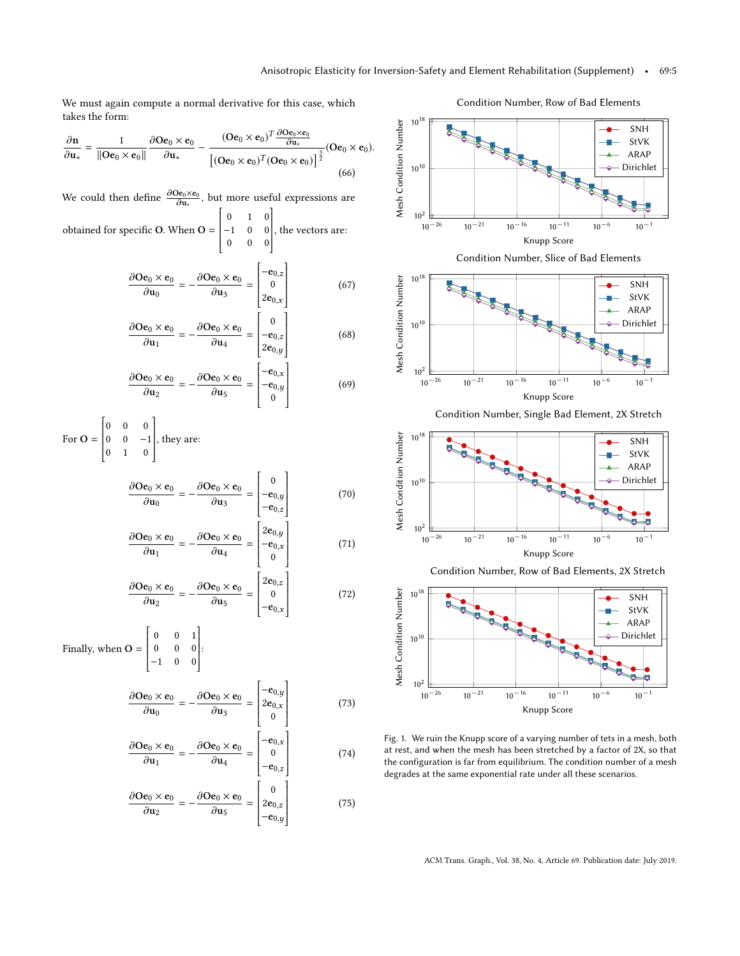We must again compute a normal derivative for this case, which takes the form:

$$
\frac{\partial \mathbf{n}}{\partial \mathbf{u}_{*}} = \frac{1}{\|\mathbf{O}\mathbf{e}_{0} \times \mathbf{e}_{0}\|} \frac{\partial \mathbf{O}\mathbf{e}_{0} \times \mathbf{e}_{0}}{\partial \mathbf{u}_{*}} - \frac{(\mathbf{O}\mathbf{e}_{0} \times \mathbf{e}_{0})^{T} \frac{\partial \mathbf{O}\mathbf{e}_{0} \times \mathbf{e}_{0}}{\partial \mathbf{u}_{*}}}{\left[(\mathbf{O}\mathbf{e}_{0} \times \mathbf{e}_{0})^{T} (\mathbf{O}\mathbf{e}_{0} \times \mathbf{e}_{0})\right]^{\frac{3}{2}}} (\mathbf{O}\mathbf{e}_{0} \times \mathbf{e}_{0}).
$$
\n(66)

We could then define  $\frac{\partial \mathbf{O}\mathbf{e}_0 \times \mathbf{e}_0}{\partial \mathbf{u}_*}$ , but more useful expressions are  $\begin{bmatrix} 0 & 1 & 0 \\ -1 & 0 & 0 \end{bmatrix}$ 

obtained for specific **O**. When **O** = 
$$
\begin{bmatrix} -1 & 0 & 0 \\ 0 & 0 & 0 \end{bmatrix}
$$
, the vectors are:

$$
\frac{\partial \mathbf{O} \mathbf{e}_0 \times \mathbf{e}_0}{\partial \mathbf{u}_0} = -\frac{\partial \mathbf{O} \mathbf{e}_0 \times \mathbf{e}_0}{\partial \mathbf{u}_3} = \begin{bmatrix} -\mathbf{e}_{0,z} \\ 0 \\ 2\mathbf{e}_{0,x} \end{bmatrix}
$$
(67)

$$
\frac{\partial \mathbf{O} \mathbf{e}_0 \times \mathbf{e}_0}{\partial \mathbf{u}_1} = -\frac{\partial \mathbf{O} \mathbf{e}_0 \times \mathbf{e}_0}{\partial \mathbf{u}_4} = \begin{bmatrix} 0 \\ -\mathbf{e}_{0,z} \\ 2\mathbf{e}_{0,y} \end{bmatrix}
$$
(68)

$$
\frac{\partial \mathbf{O} \mathbf{e}_0 \times \mathbf{e}_0}{\partial \mathbf{u}_2} = -\frac{\partial \mathbf{O} \mathbf{e}_0 \times \mathbf{e}_0}{\partial \mathbf{u}_5} = \begin{bmatrix} -\mathbf{e}_{0,x} \\ -\mathbf{e}_{0,y} \\ 0 \end{bmatrix}
$$
(69)

Ī

Ī

For  $O =$  $\begin{array}{c} \begin{array}{c} \begin{array}{c} \begin{array}{c} \end{array}\\ \end{array} \end{array} \end{array}$ Ī  $\begin{matrix} 0 & 0 \\ 0 & -1 \end{matrix}$  $\begin{bmatrix} -1 \\ 0 \end{bmatrix}$  $\overline{1}$ l ł l l I  $\overline{1}$ Ī , they are:

$$
\frac{\partial \mathbf{O} \mathbf{e}_0 \times \mathbf{e}_0}{\partial \mathbf{u}_0} = -\frac{\partial \mathbf{O} \mathbf{e}_0 \times \mathbf{e}_0}{\partial \mathbf{u}_3} = \begin{bmatrix} 0 \\ -\mathbf{e}_{0,y} \\ -\mathbf{e}_{0,z} \end{bmatrix}
$$
(70)

$$
\frac{\partial \mathbf{O} \mathbf{e}_0 \times \mathbf{e}_0}{\partial \mathbf{u}_1} = -\frac{\partial \mathbf{O} \mathbf{e}_0 \times \mathbf{e}_0}{\partial \mathbf{u}_4} = \begin{bmatrix} 2\mathbf{e}_{0,y} \\ -\mathbf{e}_{0,x} \\ 0 \end{bmatrix}
$$
(71)

$$
\frac{\partial \mathbf{O} \mathbf{e}_0 \times \mathbf{e}_0}{\partial \mathbf{u}_2} = -\frac{\partial \mathbf{O} \mathbf{e}_0 \times \mathbf{e}_0}{\partial \mathbf{u}_5} = \begin{bmatrix} 2\mathbf{e}_{0,z} \\ 0 \\ -\mathbf{e}_{0,x} \end{bmatrix}
$$
(72)

Ì

Í

Finally, when 
$$
O = \begin{bmatrix} 0 & 0 & 1 \\ 0 & 0 & 0 \\ -1 & 0 & 0 \end{bmatrix}
$$
:

Ī

$$
\frac{\partial \mathbf{O} \mathbf{e}_0 \times \mathbf{e}_0}{\partial \mathbf{u}_0} = -\frac{\partial \mathbf{O} \mathbf{e}_0 \times \mathbf{e}_0}{\partial \mathbf{u}_3} = \begin{bmatrix} -\mathbf{e}_{0,y} \\ 2\mathbf{e}_{0,x} \\ 0 \end{bmatrix}
$$
(73)

Ī

$$
\frac{\partial \mathbf{O} \mathbf{e}_0 \times \mathbf{e}_0}{\partial \mathbf{u}_1} = -\frac{\partial \mathbf{O} \mathbf{e}_0 \times \mathbf{e}_0}{\partial \mathbf{u}_4} = \begin{bmatrix} -\mathbf{e}_{0,x} \\ 0 \\ -\mathbf{e}_{0,z} \end{bmatrix}
$$
(74)

$$
\frac{\partial \mathbf{O} \mathbf{e}_0 \times \mathbf{e}_0}{\partial \mathbf{u}_2} = -\frac{\partial \mathbf{O} \mathbf{e}_0 \times \mathbf{e}_0}{\partial \mathbf{u}_5} = \begin{bmatrix} 0 \\ 2\mathbf{e}_{0,z} \\ -\mathbf{e}_{0,y} \end{bmatrix}
$$
(75)

Ī

Ī

<span id="page-4-0"></span>





Condition Number, Single Bad Element, 2X Stretch



Condition Number, Row of Bad Elements, 2X Stretch



Fig. 1. We ruin the Knupp score of a varying number of tets in a mesh, both at rest, and when the mesh has been stretched by a factor of 2X, so that the configuration is far from equilibrium. The condition number of a mesh degrades at the same exponential rate under all these scenarios.

ACM Trans. Graph., Vol. 38, No. 4, Article 69. Publication date: July 2019.